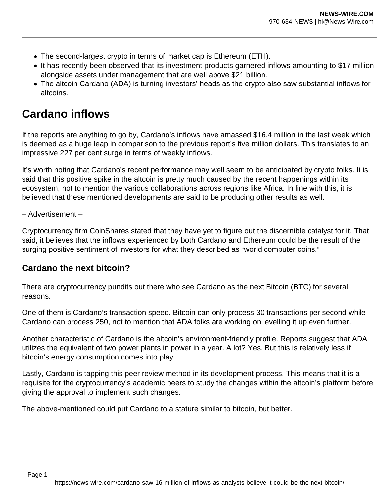- The second-largest crypto in terms of market cap is Ethereum (ETH).
- It has recently been observed that its investment products garnered inflows amounting to \$17 million alongside assets under management that are well above \$21 billion.
- The altcoin Cardano (ADA) is turning investors' heads as the crypto also saw substantial inflows for altcoins.

## **Cardano inflows**

If the reports are anything to go by, Cardano's inflows have amassed \$16.4 million in the last week which is deemed as a huge leap in comparison to the previous report's five million dollars. This translates to an impressive 227 per cent surge in terms of weekly inflows.

It's worth noting that Cardano's recent performance may well seem to be anticipated by crypto folks. It is said that this positive spike in the altcoin is pretty much caused by the recent happenings within its ecosystem, not to mention the various collaborations across regions like Africa. In line with this, it is believed that these mentioned developments are said to be producing other results as well.

– Advertisement –

Cryptocurrency firm CoinShares stated that they have yet to figure out the discernible catalyst for it. That said, it believes that the inflows experienced by both Cardano and Ethereum could be the result of the surging positive sentiment of investors for what they described as "world computer coins."

## **Cardano the next bitcoin?**

There are cryptocurrency pundits out there who see Cardano as the next Bitcoin (BTC) for several reasons.

One of them is Cardano's transaction speed. Bitcoin can only process 30 transactions per second while Cardano can process 250, not to mention that ADA folks are working on levelling it up even further.

Another characteristic of Cardano is the altcoin's environment-friendly profile. Reports suggest that ADA utilizes the equivalent of two power plants in power in a year. A lot? Yes. But this is relatively less if bitcoin's energy consumption comes into play.

Lastly, Cardano is tapping this peer review method in its development process. This means that it is a requisite for the cryptocurrency's academic peers to study the changes within the altcoin's platform before giving the approval to implement such changes.

The above-mentioned could put Cardano to a stature similar to bitcoin, but better.